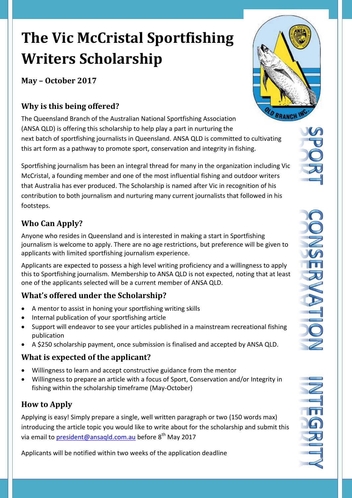# **The Vic McCristal Sportfishing Writers Scholarship**

**May – October 2017** 

## **Why is this being offered?**

The Queensland Branch of the Australian National Sportfishing Association (ANSA QLD) is offering this scholarship to help play a part in nurturing the next batch of sportfishing journalists in Queensland. ANSA QLD is committed to cultivating this art form as a pathway to promote sport, conservation and integrity in fishing.

Sportfishing journalism has been an integral thread for many in the organization including Vic McCristal, a founding member and one of the most influential fishing and outdoor writers that Australia has ever produced. The Scholarship is named after Vic in recognition of his contribution to both journalism and nurturing many current journalists that followed in his footsteps.

# **Who Can Apply?**

Anyone who resides in Queensland and is interested in making a start in Sportfishing journalism is welcome to apply. There are no age restrictions, but preference will be given to applicants with limited sportfishing journalism experience.

Applicants are expected to possess a high level writing proficiency and a willingness to apply this to Sportfishing journalism. Membership to ANSA QLD is not expected, noting that at least one of the applicants selected will be a current member of ANSA QLD.

# **What's offered under the Scholarship?**

- A mentor to assist in honing your sportfishing writing skills
- Internal publication of your sportfishing article
- Support will endeavor to see your articles published in a mainstream recreational fishing publication
- A \$250 scholarship payment, once submission is finalised and accepted by ANSA QLD.

## **What is expected of the applicant?**

- Willingness to learn and accept constructive guidance from the mentor
- Willingness to prepare an article with a focus of Sport, Conservation and/or Integrity in fishing within the scholarship timeframe (May-October)

## **How to Apply**

Applying is easy! Simply prepare a single, well written paragraph or two (150 words max) introducing the article topic you would like to write about for the scholarship and submit this via email to <u>president@ansaqld.com.au</u> before 8<sup>th</sup> May 2017

Applicants will be notified within two weeks of the application deadline